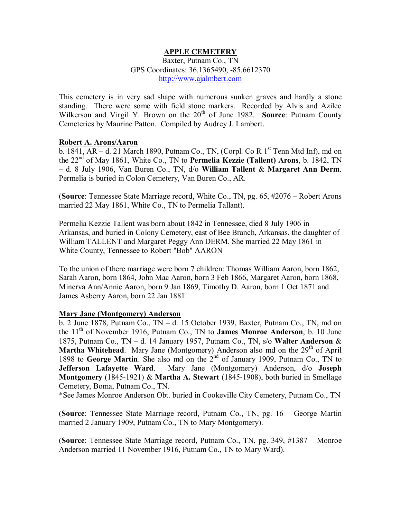# **APPLE CEMETERY**

Baxter, Putnam Co., TN GPS Coordinates: 36.1365490, -85.6612370 [http://www.ajalmbert.com](http://www.ajalmbert.com/)

This cemetery is in very sad shape with numerous sunken graves and hardly a stone standing. There were some with field stone markers. Recorded by Alvis and Azilee Wilkerson and Virgil Y. Brown on the 20<sup>th</sup> of June 1982. Source: Putnam County Cemeteries by Maurine Patton. Compiled by Audrey J. Lambert.

#### **Robert A. Arons/Aaron**

b. 1841,  $AR - d$ . 21 March 1890, Putnam Co., TN, (Corpl. Co R  $1<sup>st</sup>$  Tenn Mtd Inf), md on the 22nd of May 1861, White Co., TN to **Permelia Kezzie (Tallent) Arons**, b. 1842, TN – d. 8 July 1906, Van Buren Co., TN, d/o **William Tallent** & **Margaret Ann Derm**. Permelia is buried in Colon Cemetery, Van Buren Co., AR.

(**Source**: Tennessee State Marriage record, White Co., TN, pg. 65, #2076 – Robert Arons married 22 May 1861, White Co., TN to Permelia Tallant).

Permelia Kezzie Tallent was born about 1842 in Tennessee, died 8 July 1906 in Arkansas, and buried in Colony Cemetery, east of Bee Branch, Arkansas, the daughter of William TALLENT and Margaret Peggy Ann DERM. She married 22 May 1861 in White County, Tennessee to Robert "Bob" AARON

To the union of there marriage were born 7 children: Thomas William Aaron, born 1862, Sarah Aaron, born 1864, John Mac Aaron, born 3 Feb 1866, Margaret Aaron, born 1868, Minerva Ann/Annie Aaron, born 9 Jan 1869, Timothy D. Aaron, born 1 Oct 1871 and James Asberry Aaron, born 22 Jan 1881.

# **Mary Jane (Montgomery) Anderson**

 $\overline{b}$ . 2 June 1878, Putnam Co., TN – d. 15 October 1939, Baxter, Putnam Co., TN, md on the 11th of November 1916, Putnam Co., TN to **James Monroe Anderson**, b. 10 June 1875, Putnam Co., TN – d. 14 January 1957, Putnam Co., TN, s/o **Walter Anderson** & **Martha Whitehead.** Mary Jane (Montgomery) Anderson also md on the 29<sup>th</sup> of April 1898 to **George Martin**. She also md on the 2nd of January 1909, Putnam Co., TN to **Jefferson Lafayette Ward**. Mary Jane (Montgomery) Anderson, d/o **Joseph Montgomery** (1845-1921) & **Martha A. Stewart** (1845-1908), both buried in Smellage Cemetery, Boma, Putnam Co., TN.

\*See James Monroe Anderson Obt. buried in Cookeville City Cemetery, Putnam Co., TN

(**Source**: Tennessee State Marriage record, Putnam Co., TN, pg. 16 – George Martin married 2 January 1909, Putnam Co., TN to Mary Montgomery).

(**Source**: Tennessee State Marriage record, Putnam Co., TN, pg. 349, #1387 – Monroe Anderson married 11 November 1916, Putnam Co., TN to Mary Ward).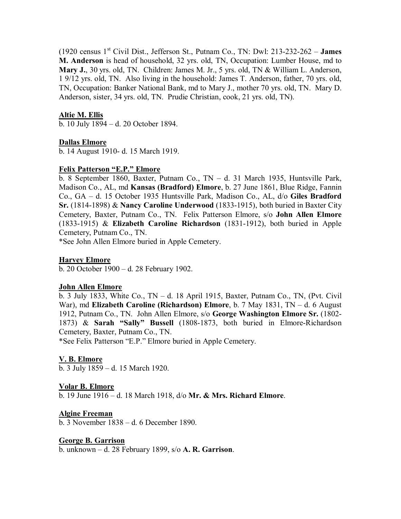(1920 census 1st Civil Dist., Jefferson St., Putnam Co., TN: Dwl: 213-232-262 – **James M. Anderson** is head of household, 32 yrs. old, TN, Occupation: Lumber House, md to **Mary J.**, 30 yrs. old, TN. Children: James M. Jr., 5 yrs. old, TN & William L. Anderson, 1 9/12 yrs. old, TN. Also living in the household: James T. Anderson, father, 70 yrs. old, TN, Occupation: Banker National Bank, md to Mary J., mother 70 yrs. old, TN. Mary D. Anderson, sister, 34 yrs. old, TN. Prudie Christian, cook, 21 yrs. old, TN).

# **Altie M. Ellis**

b. 10 July 1894 – d. 20 October 1894.

#### **Dallas Elmore**

b. 14 August 1910- d. 15 March 1919.

#### **Felix Patterson "E.P." Elmore**

b. 8 September 1860, Baxter, Putnam Co., TN – d. 31 March 1935, Huntsville Park, Madison Co., AL, md **Kansas (Bradford) Elmore**, b. 27 June 1861, Blue Ridge, Fannin Co., GA – d. 15 October 1935 Huntsville Park, Madison Co., AL, d/o **Giles Bradford Sr.** (1814-1898) & **Nancy Caroline Underwood** (1833-1915), both buried in Baxter City Cemetery, Baxter, Putnam Co., TN. Felix Patterson Elmore, s/o **John Allen Elmore** (1833-1915) & **Elizabeth Caroline Richardson** (1831-1912), both buried in Apple Cemetery, Putnam Co., TN.

\*See John Allen Elmore buried in Apple Cemetery.

#### **Harvey Elmore**

b. 20 October 1900 – d. 28 February 1902.

#### **John Allen Elmore**

b. 3 July 1833, White Co., TN – d. 18 April 1915, Baxter, Putnam Co., TN, (Pvt. Civil War), md **Elizabeth Caroline (Richardson) Elmore**, b. 7 May 1831, TN – d. 6 August 1912, Putnam Co., TN. John Allen Elmore, s/o **George Washington Elmore Sr.** (1802- 1873) & **Sarah "Sally" Bussell** (1808-1873, both buried in Elmore-Richardson Cemetery, Baxter, Putnam Co., TN.

\*See Felix Patterson "E.P." Elmore buried in Apple Cemetery.

#### **V. B. Elmore**

b. 3 July 1859 – d. 15 March 1920.

#### **Volar B. Elmore**

b. 19 June 1916 – d. 18 March 1918, d/o **Mr. & Mrs. Richard Elmore**.

#### **Algine Freeman**

b. 3 November 1838 – d. 6 December 1890.

#### **George B. Garrison**

b. unknown – d. 28 February 1899, s/o **A. R. Garrison**.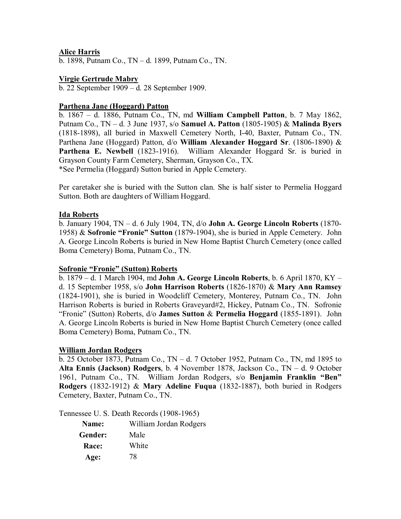# **Alice Harris**

b. 1898, Putnam Co., TN – d. 1899, Putnam Co., TN.

# **Virgie Gertrude Mabry**

b. 22 September 1909 – d. 28 September 1909.

# **Parthena Jane (Hoggard) Patton**

b. 1867 – d. 1886, Putnam Co., TN, md **William Campbell Patton**, b. 7 May 1862, Putnam Co., TN – d. 3 June 1937, s/o **Samuel A. Patton** (1805-1905) & **Malinda Byers** (1818-1898), all buried in Maxwell Cemetery North, I-40, Baxter, Putnam Co., TN. Parthena Jane (Hoggard) Patton, d/o **William Alexander Hoggard Sr**. (1806-1890) & **Parthena E. Newbell** (1823-1916). William Alexander Hoggard Sr. is buried in Grayson County Farm Cemetery, Sherman, Grayson Co., TX. \*See Permelia (Hoggard) Sutton buried in Apple Cemetery.

Per caretaker she is buried with the Sutton clan. She is half sister to Permelia Hoggard Sutton. Both are daughters of William Hoggard.

# **Ida Roberts**

b. January 1904, TN – d. 6 July 1904, TN, d/o **John A. George Lincoln Roberts** (1870- 1958) & **Sofronie "Fronie" Sutton** (1879-1904), she is buried in Apple Cemetery. John A. George Lincoln Roberts is buried in New Home Baptist Church Cemetery (once called Boma Cemetery) Boma, Putnam Co., TN.

# **Sofronie "Fronie" (Sutton) Roberts**

b. 1879 – d. 1 March 1904, md **John A. George Lincoln Roberts**, b. 6 April 1870, KY – d. 15 September 1958, s/o **John Harrison Roberts** (1826-1870) & **Mary Ann Ramsey** (1824-1901), she is buried in Woodcliff Cemetery, Monterey, Putnam Co., TN. John Harrison Roberts is buried in Roberts Graveyard#2, Hickey, Putnam Co., TN. Sofronie "Fronie" (Sutton) Roberts, d/o **James Sutton** & **Permelia Hoggard** (1855-1891). John A. George Lincoln Roberts is buried in New Home Baptist Church Cemetery (once called Boma Cemetery) Boma, Putnam Co., TN.

# **William Jordan Rodgers**

b. 25 October 1873, Putnam Co., TN – d. 7 October 1952, Putnam Co., TN, md 1895 to **Alta Ennis (Jackson) Rodgers**, b. 4 November 1878, Jackson Co., TN – d. 9 October 1961, Putnam Co., TN. William Jordan Rodgers, s/o **Benjamin Franklin "Ben" Rodgers** (1832-1912) & **Mary Adeline Fuqua** (1832-1887), both buried in Rodgers Cemetery, Baxter, Putnam Co., TN.

Tennessee U. S. Death Records (1908-1965)

| <b>Name:</b> | William Jordan Rodgers |
|--------------|------------------------|
| Gender:      | Male                   |
| Race:        | White                  |
| Age:         | 78                     |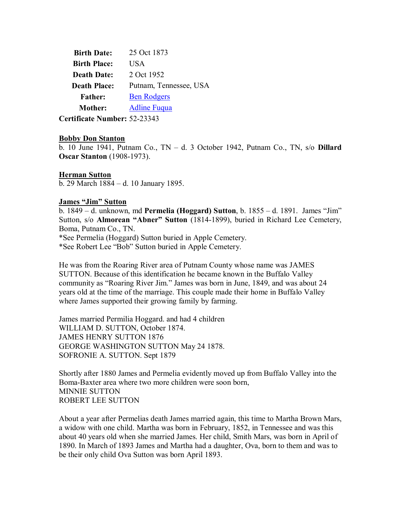| <b>Birth Date:</b>  | 25 Oct 1873            |
|---------------------|------------------------|
| <b>Birth Place:</b> | US A                   |
| <b>Death Date:</b>  | 2 Oct 1952             |
| <b>Death Place:</b> | Putnam, Tennessee, USA |
| <b>Father:</b>      | <b>Ben Rodgers</b>     |
| <b>Mother:</b>      | <b>Adline Fugua</b>    |
| $\cdots$            | $\sim$ 000 10          |

**Certificate Number:** 52-23343

#### **Bobby Don Stanton**

b. 10 June 1941, Putnam Co., TN – d. 3 October 1942, Putnam Co., TN, s/o **Dillard Oscar Stanton** (1908-1973).

# **Herman Sutton**

b. 29 March 1884 – d. 10 January 1895.

# **James "Jim" Sutton**

b. 1849 – d. unknown, md **Permelia (Hoggard) Sutton**, b. 1855 – d. 1891. James "Jim" Sutton, s/o **Almorean "Abner" Sutton** (1814-1899), buried in Richard Lee Cemetery, Boma, Putnam Co., TN.

\*See Permelia (Hoggard) Sutton buried in Apple Cemetery.

\*See Robert Lee "Bob" Sutton buried in Apple Cemetery.

He was from the Roaring River area of Putnam County whose name was JAMES SUTTON. Because of this identification he became known in the Buffalo Valley community as "Roaring River Jim." James was born in June, 1849, and was about 24 years old at the time of the marriage. This couple made their home in Buffalo Valley where James supported their growing family by farming.

James married Permilia Hoggard. and had 4 children WILLIAM D. SUTTON, October 1874. JAMES HENRY SUTTON 1876 GEORGE WASHINGTON SUTTON May 24 1878. SOFRONIE A. SUTTON. Sept 1879

Shortly after 1880 James and Permelia evidently moved up from Buffalo Valley into the Boma-Baxter area where two more children were soon born, MINNIE SUTTON ROBERT LEE SUTTON

About a year after Permelias death James married again, this time to Martha Brown Mars, a widow with one child. Martha was born in February, 1852, in Tennessee and was this about 40 years old when she married James. Her child, Smith Mars, was born in April of 1890. In March of 1893 James and Martha had a daughter, Ova, born to them and was to be their only child Ova Sutton was born April 1893.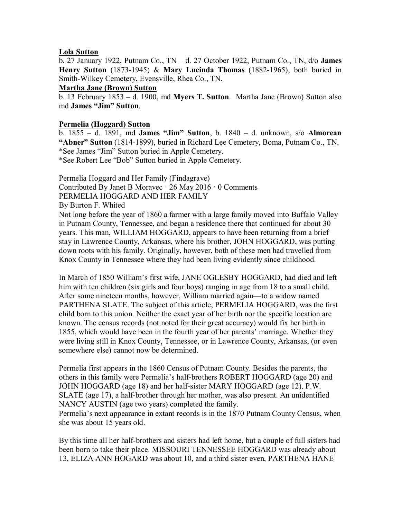# **Lola Sutton**

b. 27 January 1922, Putnam Co., TN – d. 27 October 1922, Putnam Co., TN, d/o **James Henry Sutton** (1873-1945) & **Mary Lucinda Thomas** (1882-1965), both buried in Smith-Wilkey Cemetery, Evensville, Rhea Co., TN.

# **Martha Jane (Brown) Sutton**

b. 13 February 1853 – d. 1900, md **Myers T. Sutton**. Martha Jane (Brown) Sutton also md **James "Jim" Sutton**.

# **Permelia (Hoggard) Sutton**

b. 1855 – d. 1891, md **James "Jim" Sutton**, b. 1840 – d. unknown, s/o **Almorean "Abner" Sutton** (1814-1899), buried in Richard Lee Cemetery, Boma, Putnam Co., TN. \*See James "Jim" Sutton buried in Apple Cemetery. \*See Robert Lee "Bob" Sutton buried in Apple Cemetery.

Permelia Hoggard and Her Family (Findagrave) Contributed By Janet B Moravec · 26 May 2016 · 0 Comments PERMELIA HOGGARD AND HER FAMILY

By Burton F. Whited

Not long before the year of 1860 a farmer with a large family moved into Buffalo Valley in Putnam County, Tennessee, and began a residence there that continued for about 30 years. This man, WILLIAM HOGGARD, appears to have been returning from a brief stay in Lawrence County, Arkansas, where his brother, JOHN HOGGARD, was putting down roots with his family. Originally, however, both of these men had travelled from Knox County in Tennessee where they had been living evidently since childhood.

In March of 1850 William's first wife, JANE OGLESBY HOGGARD, had died and left him with ten children (six girls and four boys) ranging in age from 18 to a small child. After some nineteen months, however, William married again—to a widow named PARTHENA SLATE. The subject of this article, PERMELIA HOGGARD, was the first child born to this union. Neither the exact year of her birth nor the specific location are known. The census records (not noted for their great accuracy) would fix her birth in 1855, which would have been in the fourth year of her parents' marriage. Whether they were living still in Knox County, Tennessee, or in Lawrence County, Arkansas, (or even somewhere else) cannot now be determined.

Permelia first appears in the 1860 Census of Putnam County. Besides the parents, the others in this family were Permelia's half-brothers ROBERT HOGGARD (age 20) and JOHN HOGGARD (age 18) and her half-sister MARY HOGGARD (age 12). P.W. SLATE (age 17), a half-brother through her mother, was also present. An unidentified NANCY AUSTIN (age two years) completed the family.

Permelia's next appearance in extant records is in the 1870 Putnam County Census, when she was about 15 years old.

By this time all her half-brothers and sisters had left home, but a couple of full sisters had been born to take their place. MISSOURI TENNESSEE HOGGARD was already about 13, ELIZA ANN HOGARD was about 10, and a third sister even, PARTHENA HANE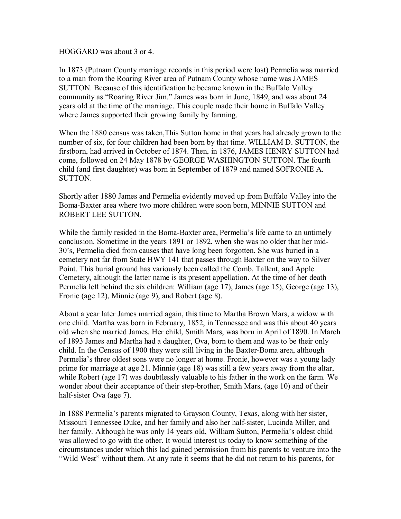HOGGARD was about 3 or 4.

In 1873 (Putnam County marriage records in this period were lost) Permelia was married to a man from the Roaring River area of Putnam County whose name was JAMES SUTTON. Because of this identification he became known in the Buffalo Valley community as "Roaring River Jim." James was born in June, 1849, and was about 24 years old at the time of the marriage. This couple made their home in Buffalo Valley where James supported their growing family by farming.

When the 1880 census was taken,This Sutton home in that years had already grown to the number of six, for four children had been born by that time. WILLIAM D. SUTTON, the firstborn, had arrived in October of 1874. Then, in 1876, JAMES HENRY SUTTON had come, followed on 24 May 1878 by GEORGE WASHINGTON SUTTON. The fourth child (and first daughter) was born in September of 1879 and named SOFRONIE A. SUTTON.

Shortly after 1880 James and Permelia evidently moved up from Buffalo Valley into the Boma-Baxter area where two more children were soon born, MINNIE SUTTON and ROBERT LEE SUTTON.

While the family resided in the Boma-Baxter area, Permelia's life came to an untimely conclusion. Sometime in the years 1891 or 1892, when she was no older that her mid-30's, Permelia died from causes that have long been forgotten. She was buried in a cemetery not far from State HWY 141 that passes through Baxter on the way to Silver Point. This burial ground has variously been called the Comb, Tallent, and Apple Cemetery, although the latter name is its present appellation. At the time of her death Permelia left behind the six children: William (age 17), James (age 15), George (age 13), Fronie (age 12), Minnie (age 9), and Robert (age 8).

About a year later James married again, this time to Martha Brown Mars, a widow with one child. Martha was born in February, 1852, in Tennessee and was this about 40 years old when she married James. Her child, Smith Mars, was born in April of 1890. In March of 1893 James and Martha had a daughter, Ova, born to them and was to be their only child. In the Census of 1900 they were still living in the Baxter-Boma area, although Permelia's three oldest sons were no longer at home. Fronie, however was a young lady prime for marriage at age 21. Minnie (age 18) was still a few years away from the altar, while Robert (age 17) was doubtlessly valuable to his father in the work on the farm. We wonder about their acceptance of their step-brother, Smith Mars, (age 10) and of their half-sister Ova (age 7).

In 1888 Permelia's parents migrated to Grayson County, Texas, along with her sister, Missouri Tennessee Duke, and her family and also her half-sister, Lucinda Miller, and her family. Although he was only 14 years old, William Sutton, Permelia's oldest child was allowed to go with the other. It would interest us today to know something of the circumstances under which this lad gained permission from his parents to venture into the "Wild West" without them. At any rate it seems that he did not return to his parents, for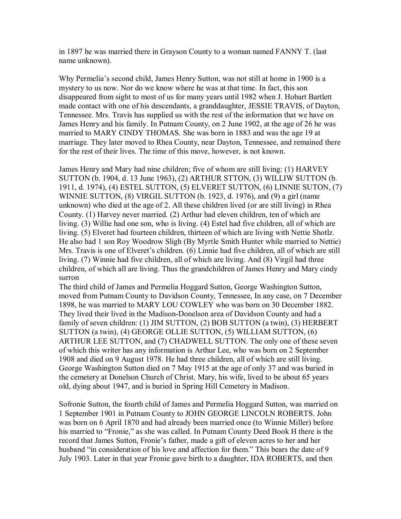in 1897 he was married there in Grayson County to a woman named FANNY T. (last name unknown).

Why Permelia's second child, James Henry Sutton, was not still at home in 1900 is a mystery to us now. Nor do we know where he was at that time. In fact, this son disappeared from sight to most of us for many years until 1982 when J. Hobart Bartlett made contact with one of his descendants, a granddaughter, JESSIE TRAVIS, of Dayton, Tennessee. Mrs. Travis has supplied us with the rest of the information that we have on James Henry and his family. In Putnam County, on 2 June 1902, at the age of 26 he was married to MARY CINDY THOMAS. She was born in 1883 and was the age 19 at marriage. They later moved to Rhea County, near Dayton, Tennessee, and remained there for the rest of their lives. The time of this move, however, is not known.

James Henry and Mary had nine children; five of whom are still living: (1) HARVEY SUTTON (b. 1904, d. 13 June 1963), (2) ARTHUR STTON, (3) WILLIW SUTTON (b. 1911, d. 1974), (4) ESTEL SUTTON, (5) ELVERET SUTTON, (6) LINNIE SUTON, (7) WINNIE SUTTON, (8) VIRGIL SUTTON (b. 1923, d. 1976), and (9) a girl (name unknown) who died at the age of 2. All these children lived (or are still living) in Rhea County. (1) Harvey never married. (2) Arthur had eleven children, ten of which are living. (3) Willie had one son, who is living. (4) Estel had five children, all of which are living. (5) Elveret had fourteen children, thirteen of which are living with Nettie Shotlz. He also had 1 son Roy Woodrow Sligh (By Myrtle Smith Hunter while married to Nettie) Mrs. Travis is one of Elveret's children. (6) Linnie had five children, all of which are still living. (7) Winnie had five children, all of which are living. And (8) Virgil had three children, of which all are living. Thus the grandchildren of James Henry and Mary cindy surron

The third child of James and Permelia Hoggard Sutton, George Washington Sutton, moved from Putnam County to Davidson County, Tennessee, In any case, on 7 December 1898, he was married to MARY LOU COWLEY who was born on 30 December 1882. They lived their lived in the Madison-Donelson area of Davidson County and had a family of seven children: (1) JIM SUTTON, (2) BOB SUTTON (a twin), (3) HERBERT SUTTON (a twin), (4) GEORGE OLLIE SUTTON, (5) WILLIAM SUTTON, (6) ARTHUR LEE SUTTON, and (7) CHADWELL SUTTON. The only one of these seven of which this writer has any information is Arthur Lee, who was born on 2 September 1908 and died on 9 August 1978. He had three children, all of which are still living. George Washington Sutton died on 7 May 1915 at the age of only 37 and was buried in the cemetery at Donelson Church of Christ. Mary, his wife, lived to be about 65 years old, dying about 1947, and is buried in Spring Hill Cemetery in Madison.

Sofronie Sutton, the fourth child of James and Permelia Hoggard Sutton, was married on 1 September 1901 in Putnam County to JOHN GEORGE LINCOLN ROBERTS. John was born on 6 April 1870 and had already been married once (to Winnie Miller) before his married to "Fronie," as she was called. In Putnam County Deed Book H there is the record that James Sutton, Fronie's father, made a gift of eleven acres to her and her husband "in consideration of his love and affection for them." This bears the date of 9 July 1903. Later in that year Fronie gave birth to a daughter, IDA ROBERTS, and then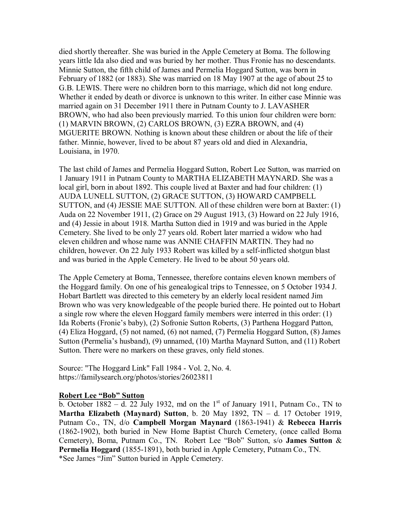died shortly thereafter. She was buried in the Apple Cemetery at Boma. The following years little Ida also died and was buried by her mother. Thus Fronie has no descendants. Minnie Sutton, the fifth child of James and Permelia Hoggard Sutton, was born in February of 1882 (or 1883). She was married on 18 May 1907 at the age of about 25 to G.B. LEWIS. There were no children born to this marriage, which did not long endure. Whether it ended by death or divorce is unknown to this writer. In either case Minnie was married again on 31 December 1911 there in Putnam County to J. LAVASHER BROWN, who had also been previously married. To this union four children were born: (1) MARVIN BROWN, (2) CARLOS BROWN, (3) EZRA BROWN, and (4) MGUERITE BROWN. Nothing is known about these children or about the life of their father. Minnie, however, lived to be about 87 years old and died in Alexandria, Louisiana, in 1970.

The last child of James and Permelia Hoggard Sutton, Robert Lee Sutton, was married on 1 January 1911 in Putnam County to MARTHA ELIZABETH MAYNARD. She was a local girl, born in about 1892. This couple lived at Baxter and had four children: (1) AUDA LUNELL SUTTON, (2) GRACE SUTTON, (3) HOWARD CAMPBELL SUTTON, and (4) JESSIE MAE SUTTON. All of these children were born at Baxter: (1) Auda on 22 November 1911, (2) Grace on 29 August 1913, (3) Howard on 22 July 1916, and (4) Jessie in about 1918. Martha Sutton died in 1919 and was buried in the Apple Cemetery. She lived to be only 27 years old. Robert later married a widow who had eleven children and whose name was ANNIE CHAFFIN MARTIN. They had no children, however. On 22 July 1933 Robert was killed by a self-inflicted shotgun blast and was buried in the Apple Cemetery. He lived to be about 50 years old.

The Apple Cemetery at Boma, Tennessee, therefore contains eleven known members of the Hoggard family. On one of his genealogical trips to Tennessee, on 5 October 1934 J. Hobart Bartlett was directed to this cemetery by an elderly local resident named Jim Brown who was very knowledgeable of the people buried there. He pointed out to Hobart a single row where the eleven Hoggard family members were interred in this order: (1) Ida Roberts (Fronie's baby), (2) Sofronie Sutton Roberts, (3) Parthena Hoggard Patton, (4) Eliza Hoggard, (5) not named, (6) not named, (7) Permelia Hoggard Sutton, (8) James Sutton (Permelia's husband), (9) unnamed, (10) Martha Maynard Sutton, and (11) Robert Sutton. There were no markers on these graves, only field stones.

Source: "The Hoggard Link" Fall 1984 - Vol. 2, No. 4. <https://familysearch.org/photos/stories/26023811>

# **Robert Lee "Bob" Sutton**

b. October  $1882 - d$ . 22 July 1932, md on the 1<sup>st</sup> of January 1911, Putnam Co., TN to **Martha Elizabeth (Maynard) Sutton**, b. 20 May 1892, TN – d. 17 October 1919, Putnam Co., TN, d/o **Campbell Morgan Maynard** (1863-1941) & **Rebecca Harris** (1862-1902), both buried in New Home Baptist Church Cemetery, (once called Boma Cemetery), Boma, Putnam Co., TN. Robert Lee "Bob" Sutton, s/o **James Sutton** & **Permelia Hoggard** (1855-1891), both buried in Apple Cemetery, Putnam Co., TN. \*See James "Jim" Sutton buried in Apple Cemetery.